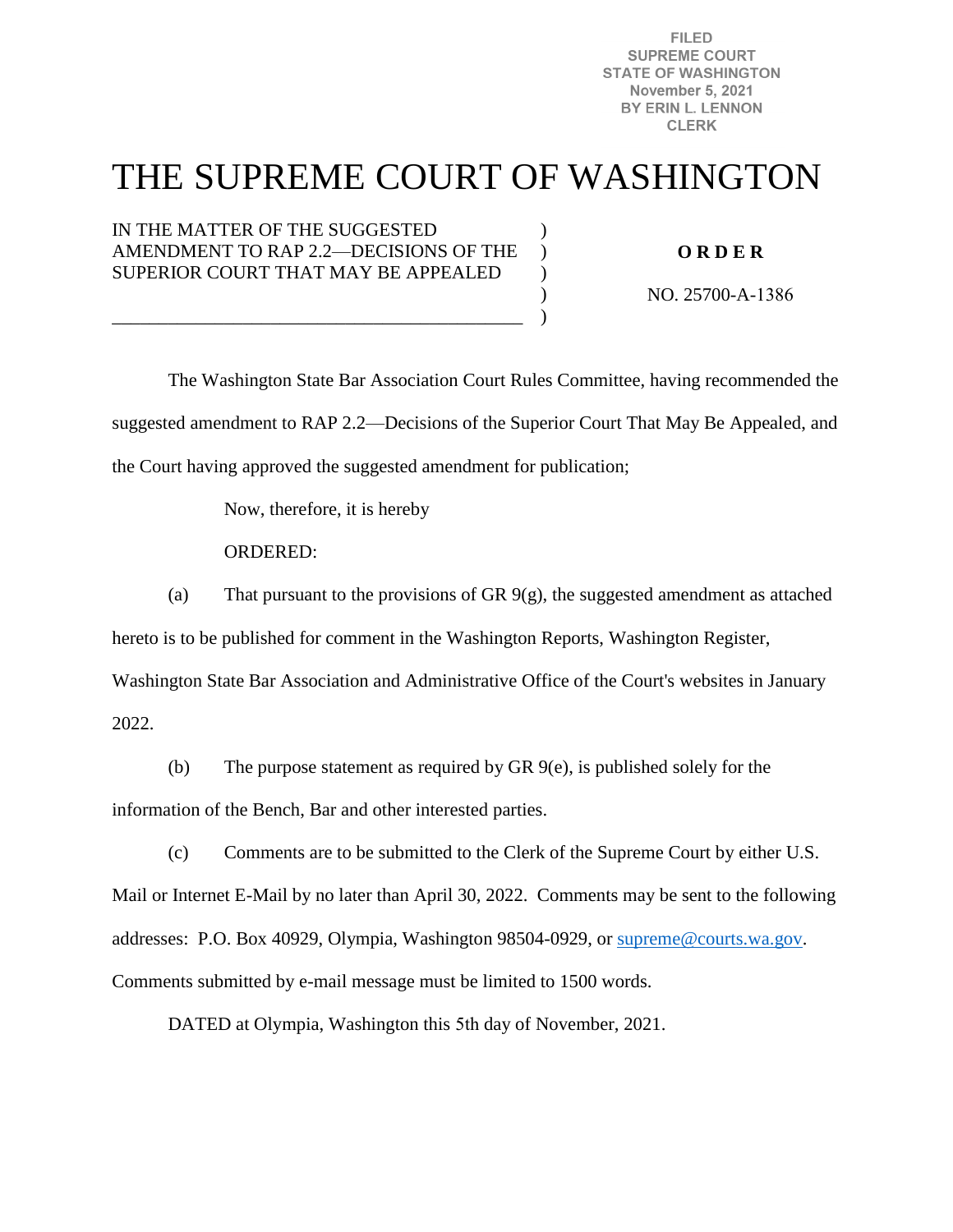**FILED SUPREME COURT STATE OF WASHINGTON November 5, 2021** BY ERIN L. LENNON **CLERK** 

# THE SUPREME COURT OF WASHINGTON

 $\mathcal{L}$  $\lambda$  $\mathcal{L}$  $\mathcal{L}$ )

IN THE MATTER OF THE SUGGESTED AMENDMENT TO RAP 2.2—DECISIONS OF THE SUPERIOR COURT THAT MAY BE APPEALED

\_\_\_\_\_\_\_\_\_\_\_\_\_\_\_\_\_\_\_\_\_\_\_\_\_\_\_\_\_\_\_\_\_\_\_\_\_\_\_\_\_\_\_\_

**O R D E R** 

NO. 25700-A-1386

 The Washington State Bar Association Court Rules Committee, having recommended the suggested amendment to RAP 2.2—Decisions of the Superior Court That May Be Appealed, and the Court having approved the suggested amendment for publication;

Now, therefore, it is hereby

ORDERED:

(a) That pursuant to the provisions of GR  $9(g)$ , the suggested amendment as attached

hereto is to be published for comment in the Washington Reports, Washington Register,

Washington State Bar Association and Administrative Office of the Court's websites in January

2022.

(b) The purpose statement as required by GR 9(e), is published solely for the information of the Bench, Bar and other interested parties.

(c) Comments are to be submitted to the Clerk of the Supreme Court by either U.S. Mail or Internet E-Mail by no later than April 30, 2022. Comments may be sent to the following addresses: P.O. Box 40929, Olympia, Washington 98504-0929, or [supreme@courts.wa.gov.](mailto:supreme@courts.wa.gov) Comments submitted by e-mail message must be limited to 1500 words.

DATED at Olympia, Washington this 5th day of November, 2021.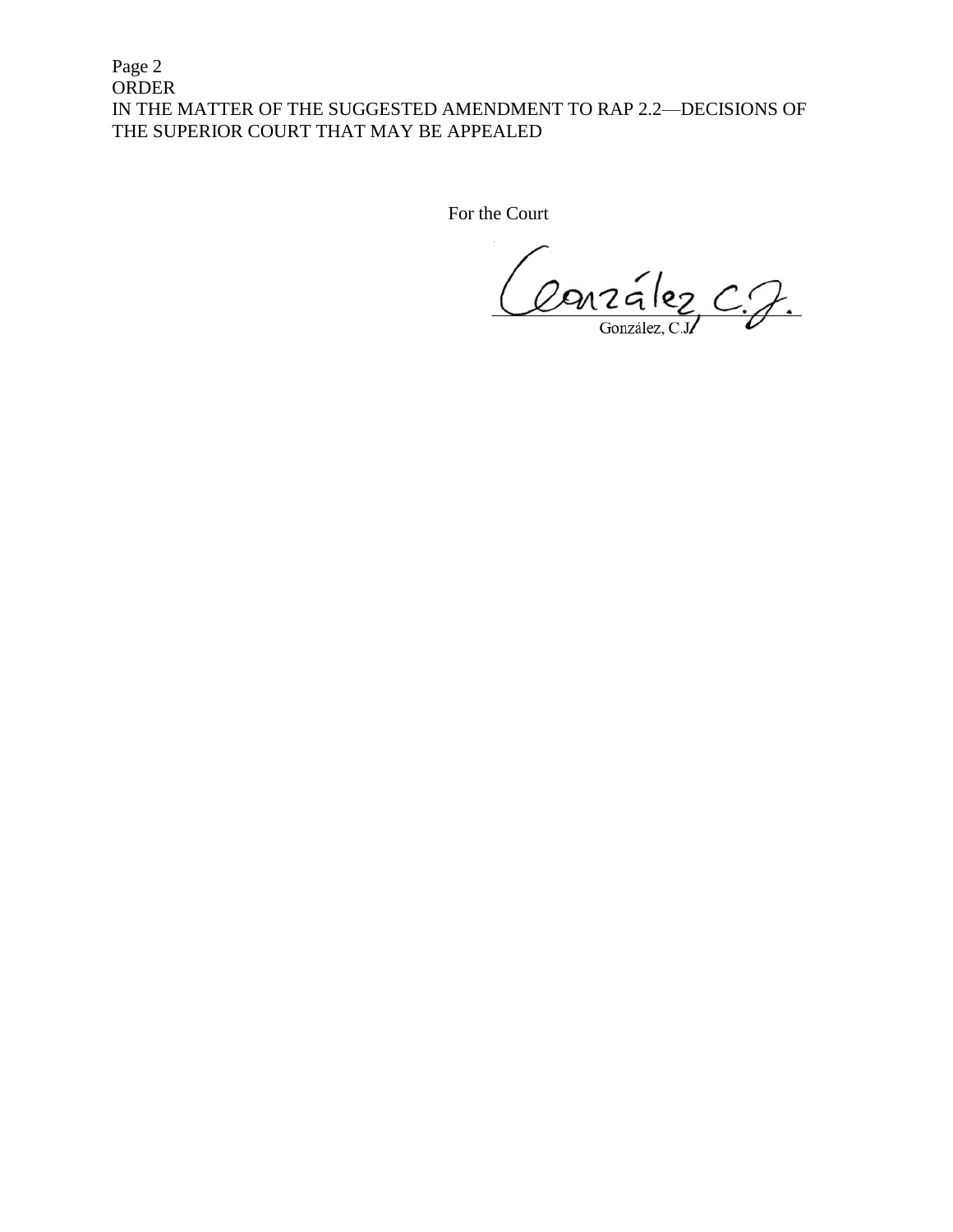Page 2 ORDER IN THE MATTER OF THE SUGGESTED AMENDMENT TO RAP 2.2—DECISIONS OF THE SUPERIOR COURT THAT MAY BE APPEALED

For the Court

Conzález C.J.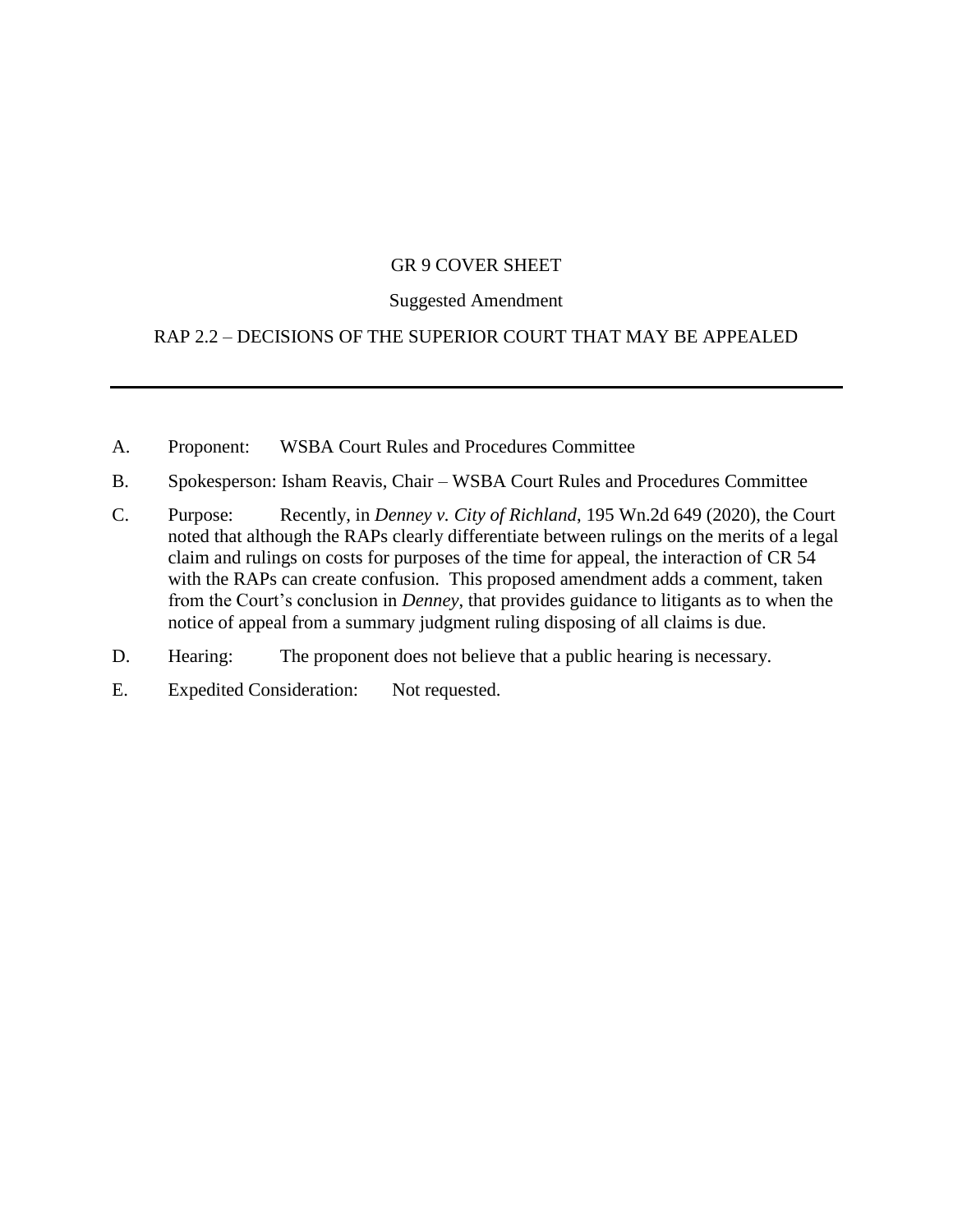#### GR 9 COVER SHEET

#### Suggested Amendment

## RAP 2.2 – DECISIONS OF THE SUPERIOR COURT THAT MAY BE APPEALED

- A. Proponent: WSBA Court Rules and Procedures Committee
- B. Spokesperson: Isham Reavis, Chair WSBA Court Rules and Procedures Committee
- C. Purpose: Recently, in *Denney v. City of Richland*, 195 Wn.2d 649 (2020), the Court noted that although the RAPs clearly differentiate between rulings on the merits of a legal claim and rulings on costs for purposes of the time for appeal, the interaction of CR 54 with the RAPs can create confusion. This proposed amendment adds a comment, taken from the Court's conclusion in *Denney*, that provides guidance to litigants as to when the notice of appeal from a summary judgment ruling disposing of all claims is due.
- D. Hearing: The proponent does not believe that a public hearing is necessary.
- E. Expedited Consideration: Not requested.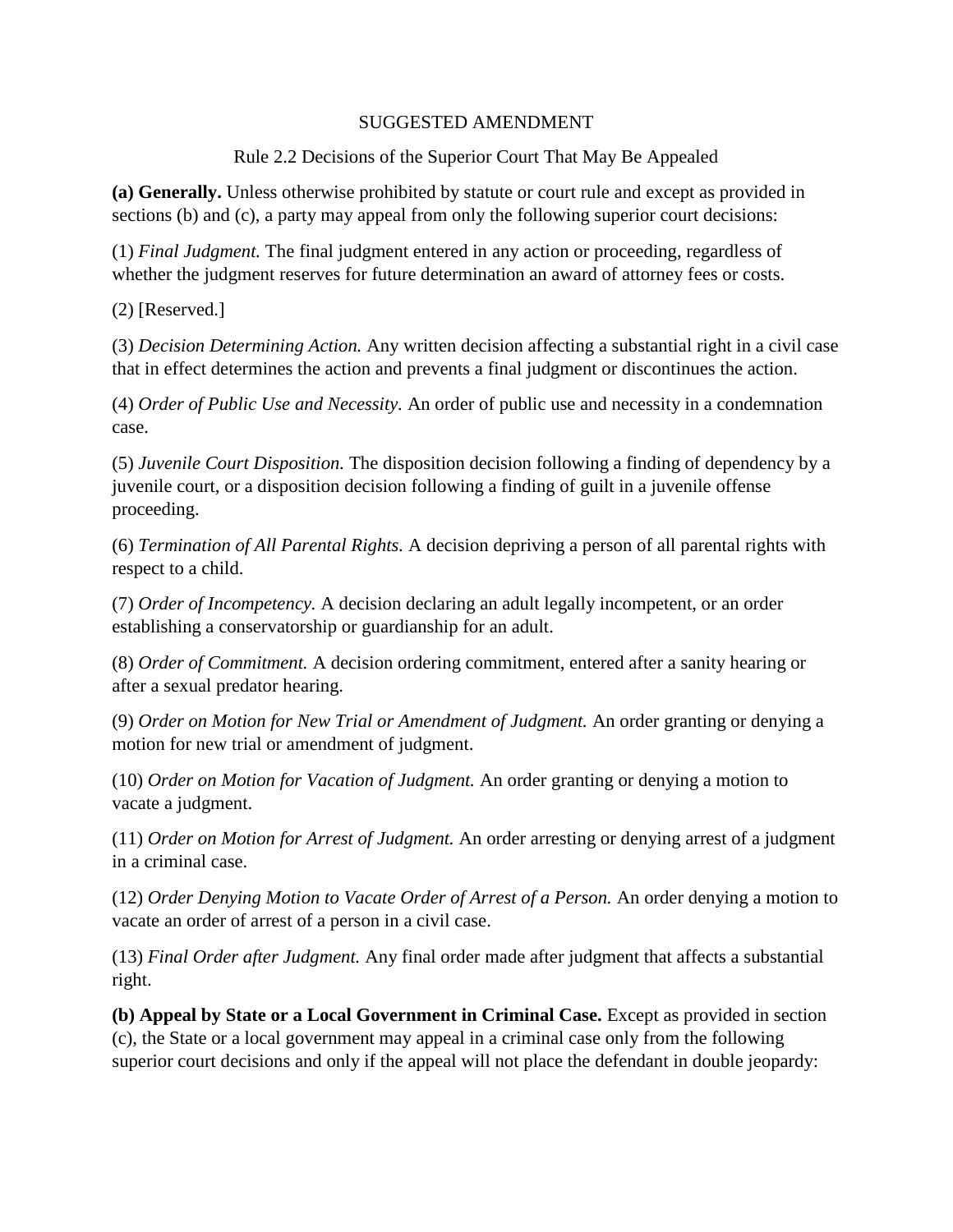### SUGGESTED AMENDMENT

Rule 2.2 Decisions of the Superior Court That May Be Appealed

**(a) Generally.** Unless otherwise prohibited by statute or court rule and except as provided in sections (b) and (c), a party may appeal from only the following superior court decisions:

(1) *Final Judgment.* The final judgment entered in any action or proceeding, regardless of whether the judgment reserves for future determination an award of attorney fees or costs.

(2) [Reserved.]

(3) *Decision Determining Action.* Any written decision affecting a substantial right in a civil case that in effect determines the action and prevents a final judgment or discontinues the action.

(4) *Order of Public Use and Necessity.* An order of public use and necessity in a condemnation case.

(5) *Juvenile Court Disposition.* The disposition decision following a finding of dependency by a juvenile court, or a disposition decision following a finding of guilt in a juvenile offense proceeding.

(6) *Termination of All Parental Rights.* A decision depriving a person of all parental rights with respect to a child.

(7) *Order of Incompetency.* A decision declaring an adult legally incompetent, or an order establishing a conservatorship or guardianship for an adult.

(8) *Order of Commitment.* A decision ordering commitment, entered after a sanity hearing or after a sexual predator hearing.

(9) *Order on Motion for New Trial or Amendment of Judgment.* An order granting or denying a motion for new trial or amendment of judgment.

(10) *Order on Motion for Vacation of Judgment.* An order granting or denying a motion to vacate a judgment.

(11) *Order on Motion for Arrest of Judgment.* An order arresting or denying arrest of a judgment in a criminal case.

(12) *Order Denying Motion to Vacate Order of Arrest of a Person.* An order denying a motion to vacate an order of arrest of a person in a civil case.

(13) *Final Order after Judgment.* Any final order made after judgment that affects a substantial right.

**(b) Appeal by State or a Local Government in Criminal Case.** Except as provided in section (c), the State or a local government may appeal in a criminal case only from the following superior court decisions and only if the appeal will not place the defendant in double jeopardy: